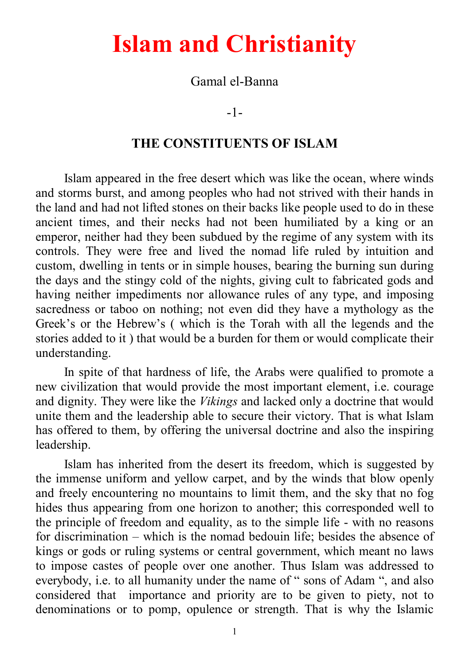# **Islam and Christianity**

Gamal el-Banna

-1-

#### **THE CONSTITUENTS OF ISLAM**

Islam appeared in the free desert which was like the ocean, where winds and storms burst, and among peoples who had not strived with their hands in the land and had not lifted stones on their backs like people used to do in these ancient times, and their necks had not been humiliated by a king or an emperor, neither had they been subdued by the regime of any system with its controls. They were free and lived the nomad life ruled by intuition and custom, dwelling in tents or in simple houses, bearing the burning sun during the days and the stingy cold of the nights, giving cult to fabricated gods and having neither impediments nor allowance rules of any type, and imposing sacredness or taboo on nothing; not even did they have a mythology as the Greek's or the Hebrew's ( which is the Torah with all the legends and the stories added to it ) that would be a burden for them or would complicate their understanding.

In spite of that hardness of life, the Arabs were qualified to promote a new civilization that would provide the most important element, i.e. courage and dignity. They were like the *Vikings* and lacked only a doctrine that would unite them and the leadership able to secure their victory. That is what Islam has offered to them, by offering the universal doctrine and also the inspiring leadership.

Islam has inherited from the desert its freedom, which is suggested by the immense uniform and yellow carpet, and by the winds that blow openly and freely encountering no mountains to limit them, and the sky that no fog hides thus appearing from one horizon to another; this corresponded well to the principle of freedom and equality, as to the simple life - with no reasons for discrimination – which is the nomad bedouin life; besides the absence of kings or gods or ruling systems or central government, which meant no laws to impose castes of people over one another. Thus Islam was addressed to everybody, i.e. to all humanity under the name of " sons of Adam ", and also considered that importance and priority are to be given to piety, not to denominations or to pomp, opulence or strength. That is why the Islamic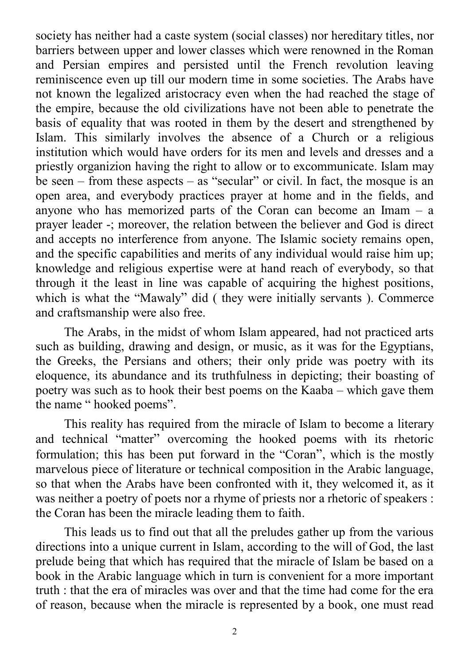society has neither had a caste system (social classes) nor hereditary titles, nor barriers between upper and lower classes which were renowned in the Roman and Persian empires and persisted until the French revolution leaving reminiscence even up till our modern time in some societies. The Arabs have not known the legalized aristocracy even when the had reached the stage of the empire, because the old civilizations have not been able to penetrate the basis of equality that was rooted in them by the desert and strengthened by Islam. This similarly involves the absence of a Church or a religious institution which would have orders for its men and levels and dresses and a priestly organizion having the right to allow or to excommunicate. Islam may be seen – from these aspects – as "secular" or civil. In fact, the mosque is an open area, and everybody practices prayer at home and in the fields, and anyone who has memorized parts of the Coran can become an Imam – a prayer leader -; moreover, the relation between the believer and God is direct and accepts no interference from anyone. The Islamic society remains open, and the specific capabilities and merits of any individual would raise him up; knowledge and religious expertise were at hand reach of everybody, so that through it the least in line was capable of acquiring the highest positions, which is what the "Mawaly" did ( they were initially servants ). Commerce and craftsmanship were also free.

The Arabs, in the midst of whom Islam appeared, had not practiced arts such as building, drawing and design, or music, as it was for the Egyptians, the Greeks, the Persians and others; their only pride was poetry with its eloquence, its abundance and its truthfulness in depicting; their boasting of poetry was such as to hook their best poems on the Kaaba – which gave them the name " hooked poems".

This reality has required from the miracle of Islam to become a literary and technical "matter" overcoming the hooked poems with its rhetoric formulation; this has been put forward in the "Coran", which is the mostly marvelous piece of literature or technical composition in the Arabic language, so that when the Arabs have been confronted with it, they welcomed it, as it was neither a poetry of poets nor a rhyme of priests nor a rhetoric of speakers : the Coran has been the miracle leading them to faith.

This leads us to find out that all the preludes gather up from the various directions into a unique current in Islam, according to the will of God, the last prelude being that which has required that the miracle of Islam be based on a book in the Arabic language which in turn is convenient for a more important truth : that the era of miracles was over and that the time had come for the era of reason, because when the miracle is represented by a book, one must read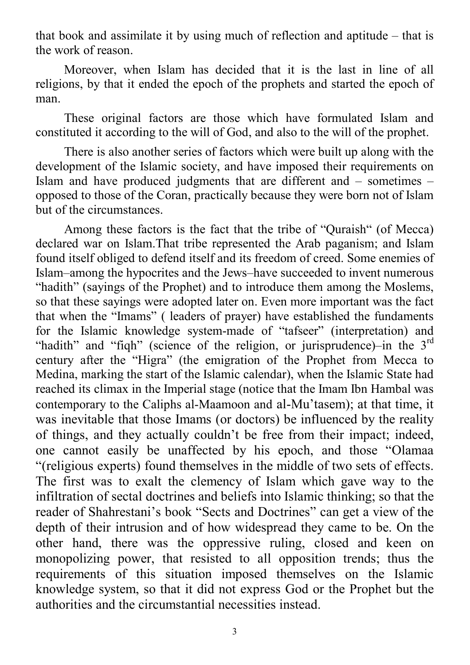that book and assimilate it by using much of reflection and aptitude – that is the work of reason.

Moreover, when Islam has decided that it is the last in line of all religions, by that it ended the epoch of the prophets and started the epoch of man.

These original factors are those which have formulated Islam and constituted it according to the will of God, and also to the will of the prophet.

There is also another series of factors which were built up along with the development of the Islamic society, and have imposed their requirements on Islam and have produced judgments that are different and – sometimes – opposed to those of the Coran, practically because they were born not of Islam but of the circumstances.

Among these factors is the fact that the tribe of "Quraish" (of Mecca) declared war on Islam.That tribe represented the Arab paganism; and Islam found itself obliged to defend itself and its freedom of creed. Some enemies of Islam–among the hypocrites and the Jews–have succeeded to invent numerous "hadith" (sayings of the Prophet) and to introduce them among the Moslems, so that these sayings were adopted later on. Even more important was the fact that when the "Imams" ( leaders of prayer) have established the fundaments for the Islamic knowledge system-made of "tafseer" (interpretation) and "hadith" and "fiqh" (science of the religion, or jurisprudence)-in the 3<sup>rd</sup> century after the "Higra" (the emigration of the Prophet from Mecca to Medina, marking the start of the Islamic calendar), when the Islamic State had reached its climax in the Imperial stage (notice that the Imam Ibn Hambal was contemporary to the Caliphs al-Maamoon and al-Mu'tasem); at that time, it was inevitable that those Imams (or doctors) be influenced by the reality of things, and they actually couldn't be free from their impact; indeed, one cannot easily be unaffected by his epoch, and those "Olamaa "(religious experts) found themselves in the middle of two sets of effects. The first was to exalt the clemency of Islam which gave way to the infiltration of sectal doctrines and beliefs into Islamic thinking; so that the reader of Shahrestani's book "Sects and Doctrines" can get a view of the depth of their intrusion and of how widespread they came to be. On the other hand, there was the oppressive ruling, closed and keen on monopolizing power, that resisted to all opposition trends; thus the requirements of this situation imposed themselves on the Islamic knowledge system, so that it did not express God or the Prophet but the authorities and the circumstantial necessities instead.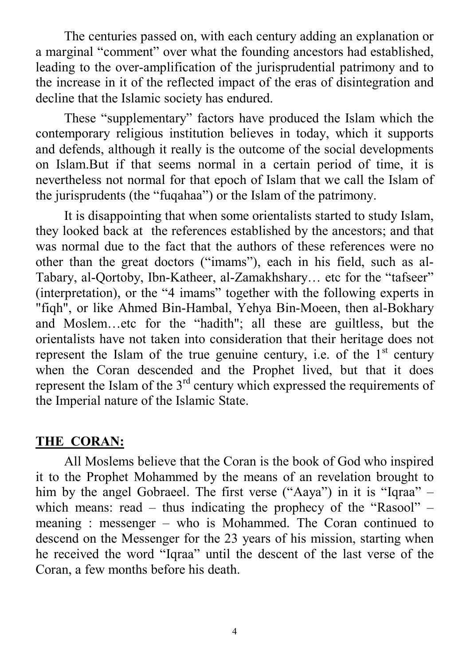The centuries passed on, with each century adding an explanation or a marginal "comment" over what the founding ancestors had established, leading to the over-amplification of the jurisprudential patrimony and to the increase in it of the reflected impact of the eras of disintegration and decline that the Islamic society has endured.

These "supplementary" factors have produced the Islam which the contemporary religious institution believes in today, which it supports and defends, although it really is the outcome of the social developments on Islam.But if that seems normal in a certain period of time, it is nevertheless not normal for that epoch of Islam that we call the Islam of the jurisprudents (the "fuqahaa") or the Islam of the patrimony.

It is disappointing that when some orientalists started to study Islam, they looked back at the references established by the ancestors; and that was normal due to the fact that the authors of these references were no other than the great doctors ("imams"), each in his field, such as al-Tabary, al-Qortoby, Ibn-Katheer, al-Zamakhshary… etc for the "tafseer" (interpretation), or the "4 imams" together with the following experts in "fiqh", or like Ahmed Bin-Hambal, Yehya Bin-Moeen, then al-Bokhary and Moslem…etc for the "hadith"; all these are guiltless, but the orientalists have not taken into consideration that their heritage does not represent the Islam of the true genuine century, i.e. of the  $1<sup>st</sup>$  century when the Coran descended and the Prophet lived, but that it does represent the Islam of the  $3<sup>rd</sup>$  century which expressed the requirements of the Imperial nature of the Islamic State.

## **THE CORAN:**

All Moslems believe that the Coran is the book of God who inspired it to the Prophet Mohammed by the means of an revelation brought to him by the angel Gobraeel. The first verse ("Aaya") in it is "Iqraa" – which means: read – thus indicating the prophecy of the "Rasool" – meaning : messenger – who is Mohammed. The Coran continued to descend on the Messenger for the 23 years of his mission, starting when he received the word "Iqraa" until the descent of the last verse of the Coran, a few months before his death.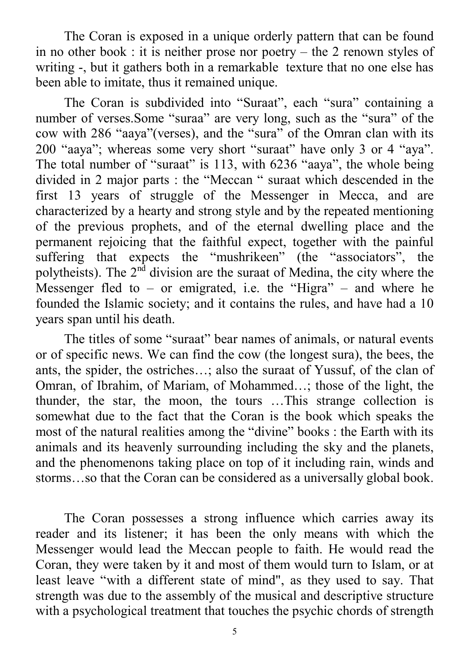The Coran is exposed in a unique orderly pattern that can be found in no other book : it is neither prose nor poetry – the 2 renown styles of writing -, but it gathers both in a remarkable texture that no one else has been able to imitate, thus it remained unique.

The Coran is subdivided into "Suraat", each "sura" containing a number of verses.Some "suraa" are very long, such as the "sura" of the cow with 286 "aaya"(verses), and the "sura" of the Omran clan with its 200 "aaya"; whereas some very short "suraat" have only 3 or 4 "aya". The total number of "suraat" is 113, with 6236 "aaya", the whole being divided in 2 major parts : the "Meccan " suraat which descended in the first 13 years of struggle of the Messenger in Mecca, and are characterized by a hearty and strong style and by the repeated mentioning of the previous prophets, and of the eternal dwelling place and the permanent rejoicing that the faithful expect, together with the painful suffering that expects the "mushrikeen" (the "associators", the polytheists). The  $2<sup>nd</sup>$  division are the suraat of Medina, the city where the Messenger fled to – or emigrated, i.e. the "Higra" – and where he founded the Islamic society; and it contains the rules, and have had a 10 years span until his death.

The titles of some "suraat" bear names of animals, or natural events or of specific news. We can find the cow (the longest sura), the bees, the ants, the spider, the ostriches…; also the suraat of Yussuf, of the clan of Omran, of Ibrahim, of Mariam, of Mohammed…; those of the light, the thunder, the star, the moon, the tours …This strange collection is somewhat due to the fact that the Coran is the book which speaks the most of the natural realities among the "divine" books : the Earth with its animals and its heavenly surrounding including the sky and the planets, and the phenomenons taking place on top of it including rain, winds and storms…so that the Coran can be considered as a universally global book.

The Coran possesses a strong influence which carries away its reader and its listener; it has been the only means with which the Messenger would lead the Meccan people to faith. He would read the Coran, they were taken by it and most of them would turn to Islam, or at least leave "with a different state of mind", as they used to say. That strength was due to the assembly of the musical and descriptive structure with a psychological treatment that touches the psychic chords of strength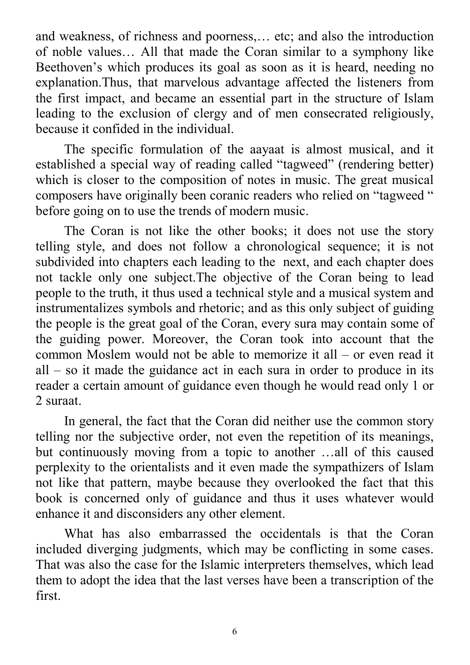and weakness, of richness and poorness,… etc; and also the introduction of noble values… All that made the Coran similar to a symphony like Beethoven's which produces its goal as soon as it is heard, needing no explanation.Thus, that marvelous advantage affected the listeners from the first impact, and became an essential part in the structure of Islam leading to the exclusion of clergy and of men consecrated religiously, because it confided in the individual.

The specific formulation of the aayaat is almost musical, and it established a special way of reading called "tagweed" (rendering better) which is closer to the composition of notes in music. The great musical composers have originally been coranic readers who relied on "tagweed " before going on to use the trends of modern music.

The Coran is not like the other books; it does not use the story telling style, and does not follow a chronological sequence; it is not subdivided into chapters each leading to the next, and each chapter does not tackle only one subject.The objective of the Coran being to lead people to the truth, it thus used a technical style and a musical system and instrumentalizes symbols and rhetoric; and as this only subject of guiding the people is the great goal of the Coran, every sura may contain some of the guiding power. Moreover, the Coran took into account that the common Moslem would not be able to memorize it all – or even read it all – so it made the guidance act in each sura in order to produce in its reader a certain amount of guidance even though he would read only 1 or 2 suraat.

In general, the fact that the Coran did neither use the common story telling nor the subjective order, not even the repetition of its meanings, but continuously moving from a topic to another …all of this caused perplexity to the orientalists and it even made the sympathizers of Islam not like that pattern, maybe because they overlooked the fact that this book is concerned only of guidance and thus it uses whatever would enhance it and disconsiders any other element.

What has also embarrassed the occidentals is that the Coran included diverging judgments, which may be conflicting in some cases. That was also the case for the Islamic interpreters themselves, which lead them to adopt the idea that the last verses have been a transcription of the first.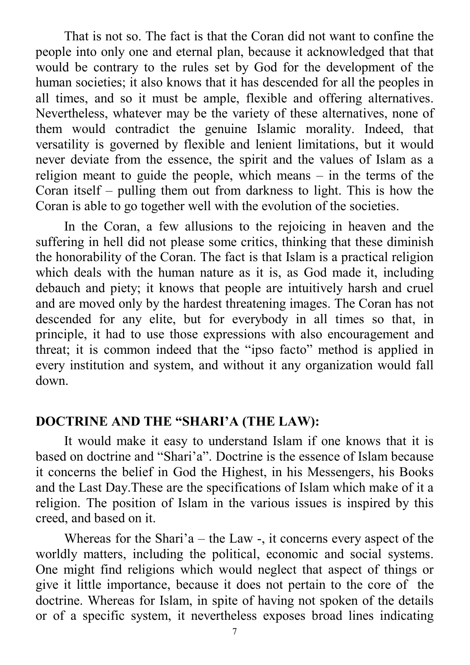That is not so. The fact is that the Coran did not want to confine the people into only one and eternal plan, because it acknowledged that that would be contrary to the rules set by God for the development of the human societies; it also knows that it has descended for all the peoples in all times, and so it must be ample, flexible and offering alternatives. Nevertheless, whatever may be the variety of these alternatives, none of them would contradict the genuine Islamic morality. Indeed, that versatility is governed by flexible and lenient limitations, but it would never deviate from the essence, the spirit and the values of Islam as a religion meant to guide the people, which means – in the terms of the Coran itself – pulling them out from darkness to light. This is how the Coran is able to go together well with the evolution of the societies.

In the Coran, a few allusions to the rejoicing in heaven and the suffering in hell did not please some critics, thinking that these diminish the honorability of the Coran. The fact is that Islam is a practical religion which deals with the human nature as it is, as God made it, including debauch and piety; it knows that people are intuitively harsh and cruel and are moved only by the hardest threatening images. The Coran has not descended for any elite, but for everybody in all times so that, in principle, it had to use those expressions with also encouragement and threat; it is common indeed that the "ipso facto" method is applied in every institution and system, and without it any organization would fall down.

#### **DOCTRINE AND THE "SHARI'A (THE LAW):**

It would make it easy to understand Islam if one knows that it is based on doctrine and "Shari'a". Doctrine is the essence of Islam because it concerns the belief in God the Highest, in his Messengers, his Books and the Last Day.These are the specifications of Islam which make of it a religion. The position of Islam in the various issues is inspired by this creed, and based on it.

Whereas for the Shari'a – the Law  $-$ , it concerns every aspect of the worldly matters, including the political, economic and social systems. One might find religions which would neglect that aspect of things or give it little importance, because it does not pertain to the core of the doctrine. Whereas for Islam, in spite of having not spoken of the details or of a specific system, it nevertheless exposes broad lines indicating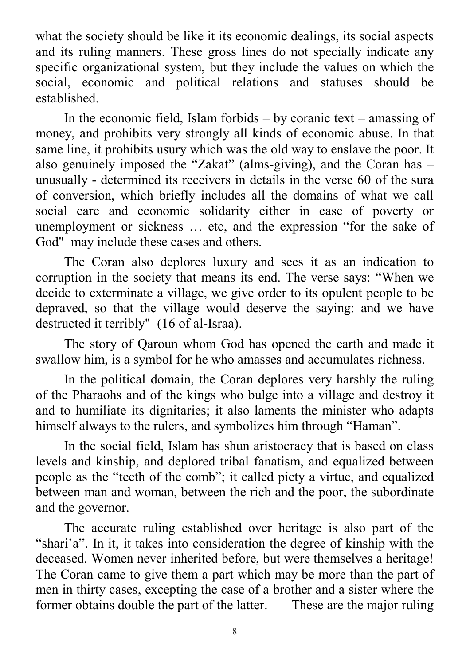what the society should be like it its economic dealings, its social aspects and its ruling manners. These gross lines do not specially indicate any specific organizational system, but they include the values on which the social, economic and political relations and statuses should be established.

In the economic field, Islam forbids  $-$  by coranic text – amassing of money, and prohibits very strongly all kinds of economic abuse. In that same line, it prohibits usury which was the old way to enslave the poor. It also genuinely imposed the "Zakat" (alms-giving), and the Coran has – unusually - determined its receivers in details in the verse 60 of the sura of conversion, which briefly includes all the domains of what we call social care and economic solidarity either in case of poverty or unemployment or sickness … etc, and the expression "for the sake of God" may include these cases and others.

The Coran also deplores luxury and sees it as an indication to corruption in the society that means its end. The verse says: "When we decide to exterminate a village, we give order to its opulent people to be depraved, so that the village would deserve the saying: and we have destructed it terribly" (16 of al-Israa).

The story of Qaroun whom God has opened the earth and made it swallow him, is a symbol for he who amasses and accumulates richness.

In the political domain, the Coran deplores very harshly the ruling of the Pharaohs and of the kings who bulge into a village and destroy it and to humiliate its dignitaries; it also laments the minister who adapts himself always to the rulers, and symbolizes him through "Haman".

In the social field, Islam has shun aristocracy that is based on class levels and kinship, and deplored tribal fanatism, and equalized between people as the "teeth of the comb"; it called piety a virtue, and equalized between man and woman, between the rich and the poor, the subordinate and the governor.

The accurate ruling established over heritage is also part of the "shari'a". In it, it takes into consideration the degree of kinship with the deceased. Women never inherited before, but were themselves a heritage! The Coran came to give them a part which may be more than the part of men in thirty cases, excepting the case of a brother and a sister where the former obtains double the part of the latter. These are the major ruling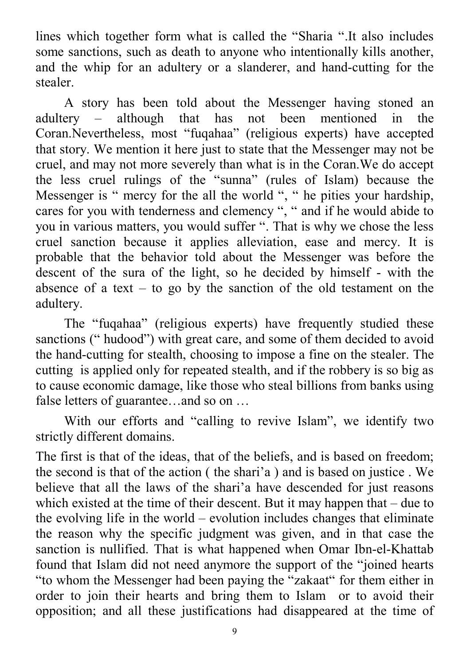lines which together form what is called the "Sharia ".It also includes some sanctions, such as death to anyone who intentionally kills another, and the whip for an adultery or a slanderer, and hand-cutting for the stealer.

A story has been told about the Messenger having stoned an<br>ery – although that has not been mentioned in the adultery – although that has not been mentioned in the Coran.Nevertheless, most "fuqahaa" (religious experts) have accepted that story. We mention it here just to state that the Messenger may not be cruel, and may not more severely than what is in the Coran.We do accept the less cruel rulings of the "sunna" (rules of Islam) because the Messenger is " mercy for the all the world ", " he pities your hardship, cares for you with tenderness and clemency ", " and if he would abide to you in various matters, you would suffer ". That is why we chose the less cruel sanction because it applies alleviation, ease and mercy. It is probable that the behavior told about the Messenger was before the descent of the sura of the light, so he decided by himself - with the absence of a text – to go by the sanction of the old testament on the adultery.

The "fuqahaa" (religious experts) have frequently studied these sanctions (" hudood") with great care, and some of them decided to avoid the hand-cutting for stealth, choosing to impose a fine on the stealer. The cutting is applied only for repeated stealth, and if the robbery is so big as to cause economic damage, like those who steal billions from banks using false letters of guarantee…and so on …

With our efforts and "calling to revive Islam", we identify two strictly different domains.

The first is that of the ideas, that of the beliefs, and is based on freedom; the second is that of the action ( the shari'a ) and is based on justice . We believe that all the laws of the shari'a have descended for just reasons which existed at the time of their descent. But it may happen that – due to the evolving life in the world – evolution includes changes that eliminate the reason why the specific judgment was given, and in that case the sanction is nullified. That is what happened when Omar Ibn-el-Khattab found that Islam did not need anymore the support of the "joined hearts "to whom the Messenger had been paying the "zakaat" for them either in order to join their hearts and bring them to Islam or to avoid their opposition; and all these justifications had disappeared at the time of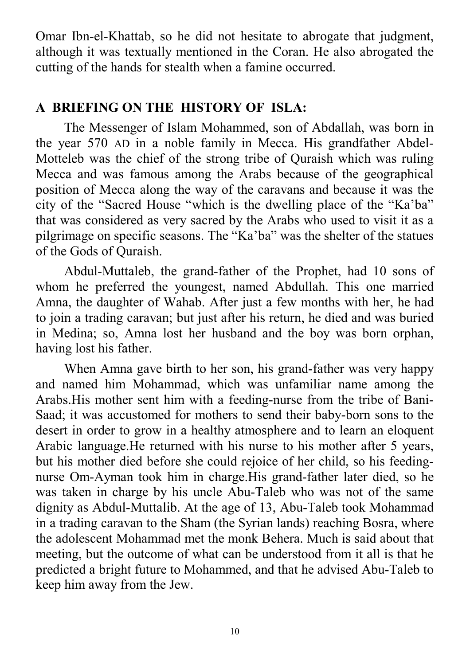Omar Ibn-el-Khattab, so he did not hesitate to abrogate that judgment, although it was textually mentioned in the Coran. He also abrogated the cutting of the hands for stealth when a famine occurred.

### **A BRIEFING ON THE HISTORY OF ISLA:**

The Messenger of Islam Mohammed, son of Abdallah, was born in the year 570 AD in a noble family in Mecca. His grandfather Abdel-Motteleb was the chief of the strong tribe of Quraish which was ruling Mecca and was famous among the Arabs because of the geographical position of Mecca along the way of the caravans and because it was the city of the "Sacred House "which is the dwelling place of the "Ka'ba" that was considered as very sacred by the Arabs who used to visit it as a pilgrimage on specific seasons. The "Ka'ba" was the shelter of the statues of the Gods of Quraish.

Abdul-Muttaleb, the grand-father of the Prophet, had 10 sons of whom he preferred the youngest, named Abdullah. This one married Amna, the daughter of Wahab. After just a few months with her, he had to join a trading caravan; but just after his return, he died and was buried in Medina; so, Amna lost her husband and the boy was born orphan, having lost his father.

When Amna gave birth to her son, his grand-father was very happy and named him Mohammad, which was unfamiliar name among the Arabs.His mother sent him with a feeding-nurse from the tribe of Bani-Saad; it was accustomed for mothers to send their baby-born sons to the desert in order to grow in a healthy atmosphere and to learn an eloquent Arabic language.He returned with his nurse to his mother after 5 years, but his mother died before she could rejoice of her child, so his feedingnurse Om-Ayman took him in charge.His grand-father later died, so he was taken in charge by his uncle Abu-Taleb who was not of the same dignity as Abdul-Muttalib. At the age of 13, Abu-Taleb took Mohammad in a trading caravan to the Sham (the Syrian lands) reaching Bosra, where the adolescent Mohammad met the monk Behera. Much is said about that meeting, but the outcome of what can be understood from it all is that he predicted a bright future to Mohammed, and that he advised Abu-Taleb to keep him away from the Jew.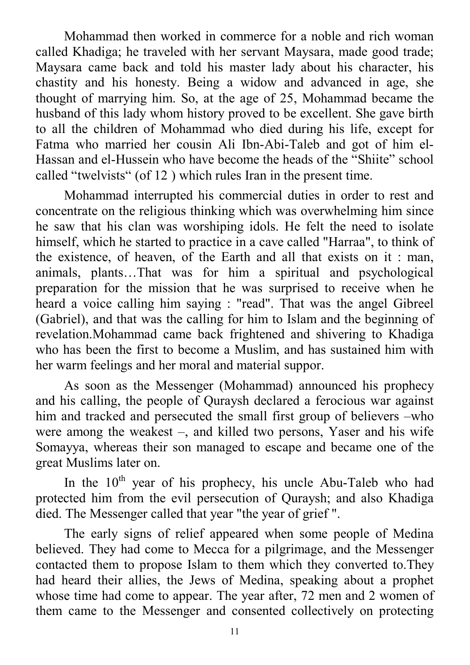Mohammad then worked in commerce for a noble and rich woman called Khadiga; he traveled with her servant Maysara, made good trade; Maysara came back and told his master lady about his character, his chastity and his honesty. Being a widow and advanced in age, she thought of marrying him. So, at the age of 25, Mohammad became the husband of this lady whom history proved to be excellent. She gave birth to all the children of Mohammad who died during his life, except for Fatma who married her cousin Ali Ibn-Abi-Taleb and got of him el-Hassan and el-Hussein who have become the heads of the "Shiite" school called "twelvists" (of 12 ) which rules Iran in the present time.

Mohammad interrupted his commercial duties in order to rest and concentrate on the religious thinking which was overwhelming him since he saw that his clan was worshiping idols. He felt the need to isolate himself, which he started to practice in a cave called "Harraa", to think of the existence, of heaven, of the Earth and all that exists on it : man, animals, plants…That was for him a spiritual and psychological preparation for the mission that he was surprised to receive when he heard a voice calling him saying : "read". That was the angel Gibreel (Gabriel), and that was the calling for him to Islam and the beginning of revelation.Mohammad came back frightened and shivering to Khadiga who has been the first to become a Muslim, and has sustained him with her warm feelings and her moral and material suppor.

As soon as the Messenger (Mohammad) announced his prophecy and his calling, the people of Quraysh declared a ferocious war against him and tracked and persecuted the small first group of believers –who were among the weakest –, and killed two persons, Yaser and his wife Somayya, whereas their son managed to escape and became one of the great Muslims later on.

In the  $10<sup>th</sup>$  year of his prophecy, his uncle Abu-Taleb who had protected him from the evil persecution of Quraysh; and also Khadiga died. The Messenger called that year "the year of grief ".

The early signs of relief appeared when some people of Medina believed. They had come to Mecca for a pilgrimage, and the Messenger contacted them to propose Islam to them which they converted to.They had heard their allies, the Jews of Medina, speaking about a prophet whose time had come to appear. The year after, 72 men and 2 women of them came to the Messenger and consented collectively on protecting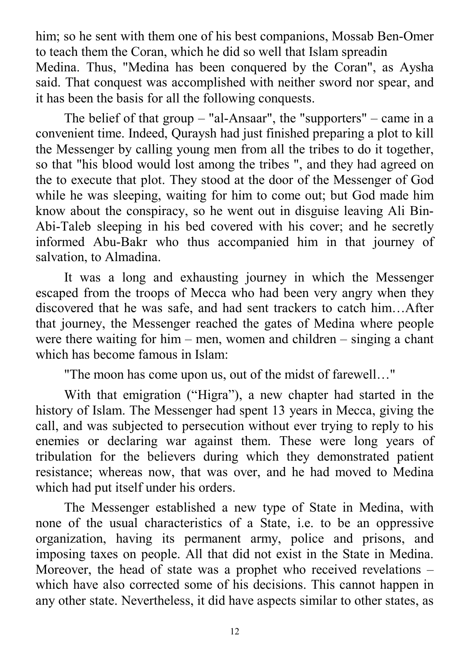him; so he sent with them one of his best companions, Mossab Ben-Omer to teach them the Coran, which he did so well that Islam spreadin Medina. Thus, "Medina has been conquered by the Coran" , as Aysha said. That conquest was accomplished with neither sword nor spear, and it has been the basis for all the following conquests.

The belief of that group – "al-Ansaar", the "supporters" – came in a convenient time. Indeed, Quraysh had just finished preparing a plot to kill the Messenger by calling young men from all the tribes to do it together, so that "his blood would lost among the tribes ", and they had agreed on the to execute that plot. They stood at the door of the Messenger of God while he was sleeping, waiting for him to come out; but God made him know about the conspiracy, so he went out in disguise leaving Ali Bin-Abi-Taleb sleeping in his bed covered with his cover; and he secretly informed Abu-Bakr who thus accompanied him in that journey of salvation, to Almadina.

It was a long and exhausting journey in which the Messenger escaped from the troops of Mecca who had been very angry when they discovered that he was safe, and had sent trackers to catch him…After that journey, the Messenger reached the gates of Medina where people were there waiting for him – men, women and children – singing a chant which has become famous in Islam:

"The moon has come upon us, out of the midst of farewell…"

With that emigration ("Higra"), a new chapter had started in the history of Islam. The Messenger had spent 13 years in Mecca, giving the call, and was subjected to persecution without ever trying to reply to his enemies or declaring war against them. These were long years of tribulation for the believers during which they demonstrated patient resistance; whereas now, that was over, and he had moved to Medina which had put itself under his orders.

The Messenger established a new type of State in Medina, with none of the usual characteristics of a State, i.e. to be an oppressive organization, having its permanent army, police and prisons, and imposing taxes on people. All that did not exist in the State in Medina. Moreover, the head of state was a prophet who received revelations – which have also corrected some of his decisions. This cannot happen in any other state. Nevertheless, it did have aspects similar to other states, as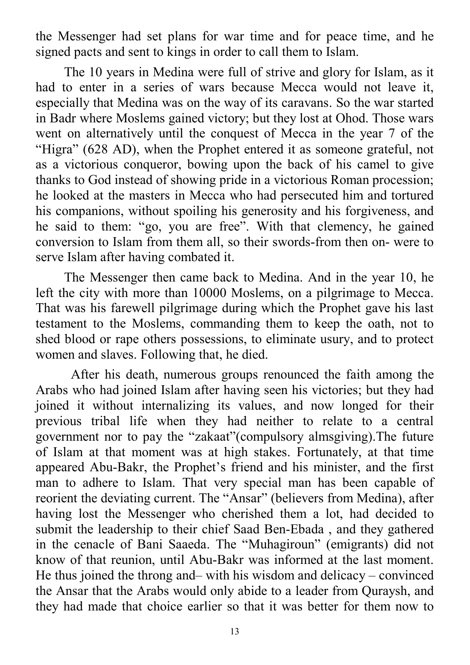the Messenger had set plans for war time and for peace time, and he signed pacts and sent to kings in order to call them to Islam.

The 10 years in Medina were full of strive and glory for Islam, as it had to enter in a series of wars because Mecca would not leave it, especially that Medina was on the way of its caravans. So the war started in Badr where Moslems gained victory; but they lost at Ohod. Those wars went on alternatively until the conquest of Mecca in the year 7 of the "Higra" (628 AD), when the Prophet entered it as someone grateful, not as a victorious conqueror, bowing upon the back of his camel to give thanks to God instead of showing pride in a victorious Roman procession; he looked at the masters in Mecca who had persecuted him and tortured his companions, without spoiling his generosity and his forgiveness, and he said to them: "go, you are free". With that clemency, he gained conversion to Islam from them all, so their swords-from then on- were to serve Islam after having combated it.

The Messenger then came back to Medina. And in the year 10, he left the city with more than 10000 Moslems, on a pilgrimage to Mecca. That was his farewell pilgrimage during which the Prophet gave his last testament to the Moslems, commanding them to keep the oath, not to shed blood or rape others possessions, to eliminate usury, and to protect women and slaves. Following that, he died.

 After his death, numerous groups renounced the faith among the Arabs who had joined Islam after having seen his victories; but they had joined it without internalizing its values, and now longed for their previous tribal life when they had neither to relate to a central government nor to pay the "zakaat"(compulsory almsgiving).The future of Islam at that moment was at high stakes. Fortunately, at that time appeared Abu-Bakr, the Prophet's friend and his minister, and the first man to adhere to Islam. That very special man has been capable of reorient the deviating current. The "Ansar" (believers from Medina), after having lost the Messenger who cherished them a lot, had decided to submit the leadership to their chief Saad Ben-Ebada , and they gathered in the cenacle of Bani Saaeda. The "Muhagiroun" (emigrants) did not know of that reunion, until Abu-Bakr was informed at the last moment. He thus joined the throng and– with his wisdom and delicacy – convinced the Ansar that the Arabs would only abide to a leader from Quraysh, and they had made that choice earlier so that it was better for them now to

13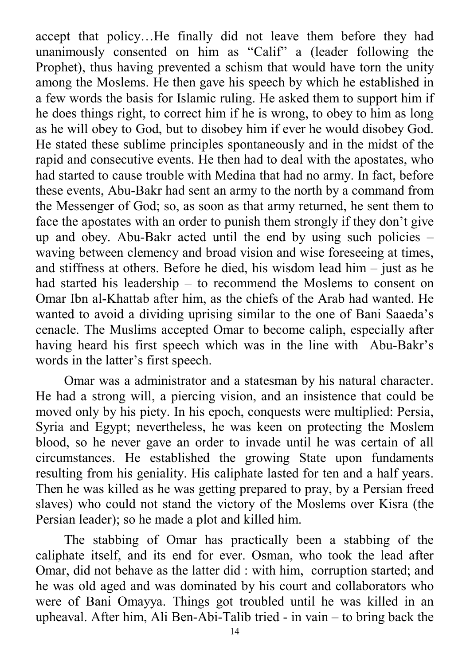accept that policy…He finally did not leave them before they had unanimously consented on him as "Calif" a (leader following the Prophet), thus having prevented a schism that would have torn the unity among the Moslems. He then gave his speech by which he established in a few words the basis for Islamic ruling. He asked them to support him if he does things right, to correct him if he is wrong, to obey to him as long as he will obey to God, but to disobey him if ever he would disobey God. He stated these sublime principles spontaneously and in the midst of the rapid and consecutive events. He then had to deal with the apostates, who had started to cause trouble with Medina that had no army. In fact, before these events, Abu-Bakr had sent an army to the north by a command from the Messenger of God; so, as soon as that army returned, he sent them to face the apostates with an order to punish them strongly if they don't give up and obey. Abu-Bakr acted until the end by using such policies – waving between clemency and broad vision and wise foreseeing at times, and stiffness at others. Before he died, his wisdom lead him – just as he had started his leadership – to recommend the Moslems to consent on Omar Ibn al-Khattab after him, as the chiefs of the Arab had wanted. He wanted to avoid a dividing uprising similar to the one of Bani Saaeda's cenacle. The Muslims accepted Omar to become caliph, especially after having heard his first speech which was in the line with Abu-Bakr's words in the latter's first speech.

Omar was a administrator and a statesman by his natural character. He had a strong will, a piercing vision, and an insistence that could be moved only by his piety. In his epoch, conquests were multiplied: Persia, Syria and Egypt; nevertheless, he was keen on protecting the Moslem blood, so he never gave an order to invade until he was certain of all circumstances. He established the growing State upon fundaments resulting from his geniality. His caliphate lasted for ten and a half years. Then he was killed as he was getting prepared to pray, by a Persian freed slaves) who could not stand the victory of the Moslems over Kisra (the Persian leader); so he made a plot and killed him.

The stabbing of Omar has practically been a stabbing of the caliphate itself, and its end for ever. Osman, who took the lead after Omar, did not behave as the latter did : with him, corruption started; and he was old aged and was dominated by his court and collaborators who were of Bani Omayya. Things got troubled until he was killed in an upheaval. After him, Ali Ben-Abi-Talib tried - in vain – to bring back the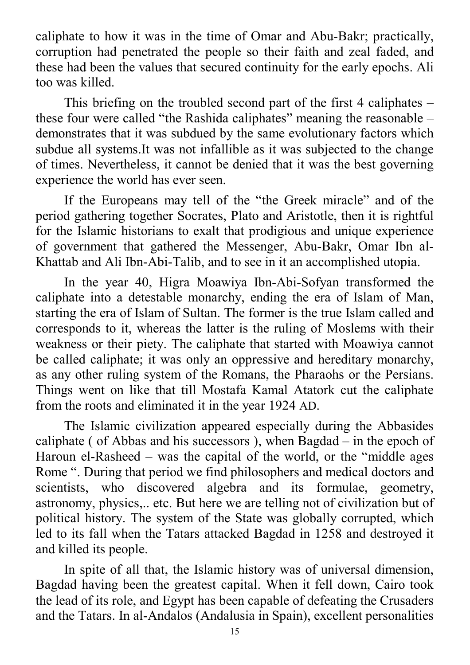caliphate to how it was in the time of Omar and Abu-Bakr; practically, corruption had penetrated the people so their faith and zeal faded, and these had been the values that secured continuity for the early epochs. Ali too was killed.

This briefing on the troubled second part of the first 4 caliphates – these four were called "the Rashida caliphates" meaning the reasonable – demonstrates that it was subdued by the same evolutionary factors which subdue all systems.It was not infallible as it was subjected to the change of times. Nevertheless, it cannot be denied that it was the best governing experience the world has ever seen.

If the Europeans may tell of the "the Greek miracle" and of the period gathering together Socrates, Plato and Aristotle, then it is rightful for the Islamic historians to exalt that prodigious and unique experience of government that gathered the Messenger, Abu-Bakr, Omar Ibn al-Khattab and Ali Ibn-Abi-Talib, and to see in it an accomplished utopia.

In the year 40, Higra Moawiya Ibn-Abi-Sofyan transformed the caliphate into a detestable monarchy, ending the era of Islam of Man, starting the era of Islam of Sultan. The former is the true Islam called and corresponds to it, whereas the latter is the ruling of Moslems with their weakness or their piety. The caliphate that started with Moawiya cannot be called caliphate; it was only an oppressive and hereditary monarchy, as any other ruling system of the Romans, the Pharaohs or the Persians. Things went on like that till Mostafa Kamal Atatork cut the caliphate from the roots and eliminated it in the year 1924 AD.

The Islamic civilization appeared especially during the Abbasides caliphate ( of Abbas and his successors ), when Bagdad – in the epoch of Haroun el-Rasheed – was the capital of the world, or the "middle ages Rome ". During that period we find philosophers and medical doctors and scientists, who discovered algebra and its formulae, geometry, astronomy, physics,.. etc. But here we are telling not of civilization but of political history. The system of the State was globally corrupted, which led to its fall when the Tatars attacked Bagdad in 1258 and destroyed it and killed its people.

In spite of all that, the Islamic history was of universal dimension, Bagdad having been the greatest capital. When it fell down, Cairo took the lead of its role, and Egypt has been capable of defeating the Crusaders and the Tatars. In al-Andalos (Andalusia in Spain), excellent personalities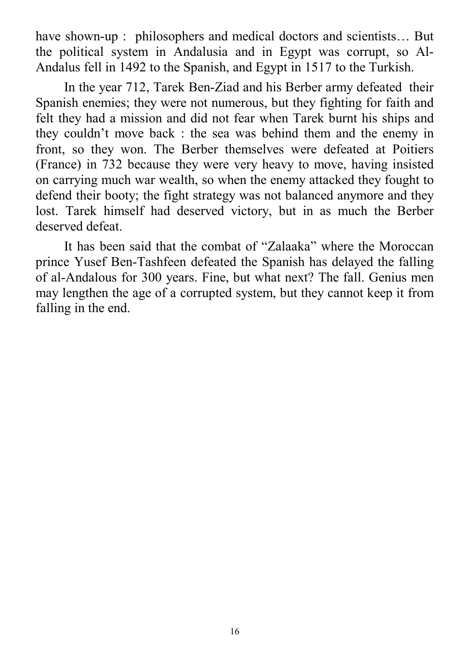have shown-up : philosophers and medical doctors and scientists... But the political system in Andalusia and in Egypt was corrupt, so Al-Andalus fell in 1492 to the Spanish, and Egypt in 1517 to the Turkish.

In the year 712, Tarek Ben-Ziad and his Berber army defeated their Spanish enemies; they were not numerous, but they fighting for faith and felt they had a mission and did not fear when Tarek burnt his ships and they couldn't move back : the sea was behind them and the enemy in front, so they won. The Berber themselves were defeated at Poitiers (France) in 732 because they were very heavy to move, having insisted on carrying much war wealth, so when the enemy attacked they fought to defend their booty; the fight strategy was not balanced anymore and they lost. Tarek himself had deserved victory, but in as much the Berber deserved defeat.

It has been said that the combat of "Zalaaka" where the Moroccan prince Yusef Ben-Tashfeen defeated the Spanish has delayed the falling of al-Andalous for 300 years. Fine, but what next? The fall. Genius men may lengthen the age of a corrupted system, but they cannot keep it from falling in the end.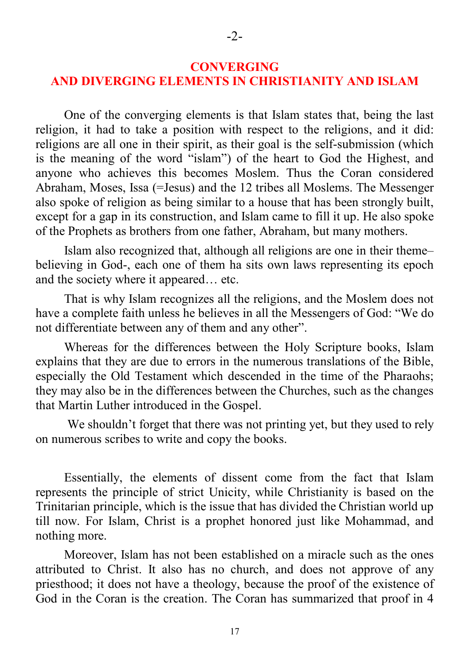One of the converging elements is that Islam states that, being the last religion, it had to take a position with respect to the religions, and it did: religions are all one in their spirit, as their goal is the self-submission (which is the meaning of the word "islam") of the heart to God the Highest, and anyone who achieves this becomes Moslem. Thus the Coran considered Abraham, Moses, Issa (=Jesus) and the 12 tribes all Moslems. The Messenger also spoke of religion as being similar to a house that has been strongly built, except for a gap in its construction, and Islam came to fill it up. He also spoke of the Prophets as brothers from one father, Abraham, but many mothers.

Islam also recognized that, although all religions are one in their theme– believing in God-, each one of them ha sits own laws representing its epoch and the society where it appeared… etc.

That is why Islam recognizes all the religions, and the Moslem does not have a complete faith unless he believes in all the Messengers of God: "We do not differentiate between any of them and any other".

Whereas for the differences between the Holy Scripture books, Islam explains that they are due to errors in the numerous translations of the Bible, especially the Old Testament which descended in the time of the Pharaohs; they may also be in the differences between the Churches, such as the changes that Martin Luther introduced in the Gospel.

 We shouldn't forget that there was not printing yet, but they used to rely on numerous scribes to write and copy the books.

Essentially, the elements of dissent come from the fact that Islam represents the principle of strict Unicity, while Christianity is based on the Trinitarian principle, which is the issue that has divided the Christian world up till now. For Islam, Christ is a prophet honored just like Mohammad, and nothing more.

Moreover, Islam has not been established on a miracle such as the ones attributed to Christ. It also has no church, and does not approve of any priesthood; it does not have a theology, because the proof of the existence of God in the Coran is the creation. The Coran has summarized that proof in 4